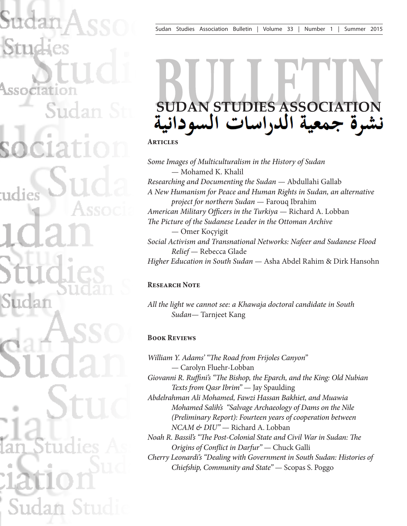# **SUDAN STUDIES ASSOCIATION**

**Articles**

*Some Images of Multiculturalism in the History of Sudan* — Mohamed K. Khalil *Researching and Documenting the Sudan* — Abdullahi Gallab *A New Humanism for Peace and Human Rights in Sudan, an alternative project for northern Sudan* — Farouq Ibrahim *American Military Officers in the Turkiya* — Richard A. Lobban *The Picture of the Sudanese Leader in the Ottoman Archive* — Omer Koçyigit *Social Activism and Transnational Networks: Nafeer and Sudanese Flood Relief* — Rebecca Glade *Higher Education in South Sudan* — Asha Abdel Rahim & Dirk Hansohn

#### **Research Note**

*All the light we cannot see: a Khawaja doctoral candidate in South Sudan*— Tarnjeet Kang

### **Book Reviews**

*William Y. Adams' "The Road from Frijoles Canyon"* — Carolyn Fluehr-Lobban *Giovanni R. Ruffini's "The Bishop, the Eparch, and the King: Old Nubian Texts from Qasr Ibrim"* — Jay Spaulding *Abdelrahman Ali Mohamed, Fawzi Hassan Bakhiet, and Muawia Mohamed Salih's "Salvage Archaeology of Dams on the Nile (Preliminary Report): Fourteen years of cooperation between NCAM & DIU"* — Richard A. Lobban *Noah R. Bassil's "The Post-Colonial State and Civil War in Sudan: The Origins of Conflict in Darfur"* — Chuck Galli

*Cherry Leonardi's "Dealing with Government in South Sudan: Histories of Chiefship, Community and State"* — Scopas S. Poggo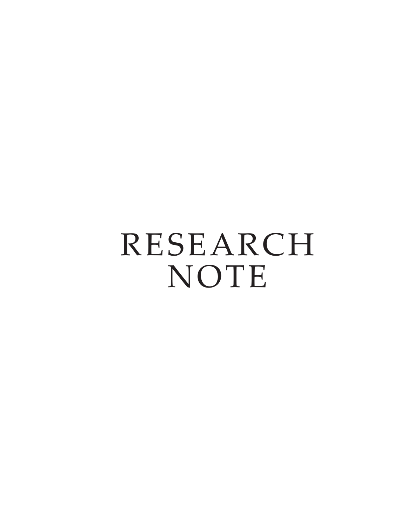RESEARCH NOTE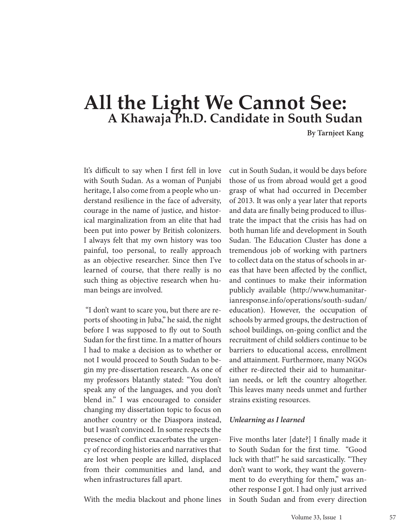## **All the Light We Cannot See: A Khawaja Ph.D. Candidate in South Sudan**

**By Tarnjeet Kang**

It's difficult to say when I first fell in love with South Sudan. As a woman of Punjabi heritage, I also come from a people who understand resilience in the face of adversity, courage in the name of justice, and historical marginalization from an elite that had been put into power by British colonizers. I always felt that my own history was too painful, too personal, to really approach as an objective researcher. Since then I've learned of course, that there really is no such thing as objective research when human beings are involved.

 "I don't want to scare you, but there are reports of shooting in Juba," he said, the night before I was supposed to fly out to South Sudan for the first time. In a matter of hours I had to make a decision as to whether or not I would proceed to South Sudan to begin my pre-dissertation research. As one of my professors blatantly stated: "You don't speak any of the languages, and you don't blend in." I was encouraged to consider changing my dissertation topic to focus on another country or the Diaspora instead, but I wasn't convinced. In some respects the presence of conflict exacerbates the urgency of recording histories and narratives that are lost when people are killed, displaced from their communities and land, and when infrastructures fall apart.

With the media blackout and phone lines

cut in South Sudan, it would be days before those of us from abroad would get a good grasp of what had occurred in December of 2013. It was only a year later that reports and data are finally being produced to illustrate the impact that the crisis has had on both human life and development in South Sudan. The Education Cluster has done a tremendous job of working with partners to collect data on the status of schools in areas that have been affected by the conflict, and continues to make their information publicly available (http://www.humanitarianresponse.info/operations/south-sudan/ education). However, the occupation of schools by armed groups, the destruction of school buildings, on-going conflict and the recruitment of child soldiers continue to be barriers to educational access, enrollment and attainment. Furthermore, many NGOs either re-directed their aid to humanitarian needs, or left the country altogether. This leaves many needs unmet and further strains existing resources.

#### *Unlearning as I learned*

Five months later [date?] I finally made it to South Sudan for the first time. "Good luck with that!" he said sarcastically. "They don't want to work, they want the government to do everything for them," was another response I got. I had only just arrived in South Sudan and from every direction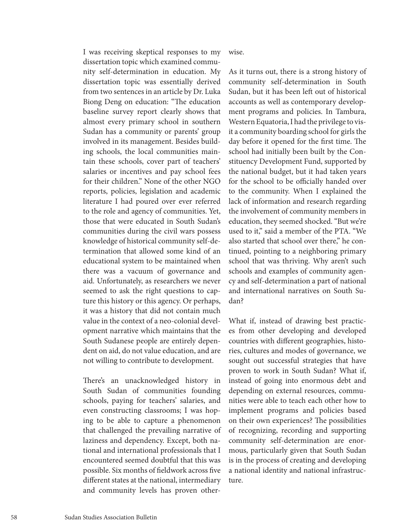I was receiving skeptical responses to my dissertation topic which examined community self-determination in education. My dissertation topic was essentially derived from two sentences in an article by Dr. Luka Biong Deng on education: "The education baseline survey report clearly shows that almost every primary school in southern Sudan has a community or parents' group involved in its management. Besides building schools, the local communities maintain these schools, cover part of teachers' salaries or incentives and pay school fees for their children." None of the other NGO reports, policies, legislation and academic literature I had poured over ever referred to the role and agency of communities. Yet, those that were educated in South Sudan's communities during the civil wars possess knowledge of historical community self-determination that allowed some kind of an educational system to be maintained when there was a vacuum of governance and aid. Unfortunately, as researchers we never seemed to ask the right questions to capture this history or this agency. Or perhaps, it was a history that did not contain much value in the context of a neo-colonial development narrative which maintains that the South Sudanese people are entirely dependent on aid, do not value education, and are not willing to contribute to development.

There's an unacknowledged history in South Sudan of communities founding schools, paying for teachers' salaries, and even constructing classrooms; I was hoping to be able to capture a phenomenon that challenged the prevailing narrative of laziness and dependency. Except, both national and international professionals that I encountered seemed doubtful that this was possible. Six months of fieldwork across five different states at the national, intermediary and community levels has proven other-

wise.

As it turns out, there is a strong history of community self-determination in South Sudan, but it has been left out of historical accounts as well as contemporary development programs and policies. In Tambura, Western Equatoria, I had the privilege to visit a community boarding school for girls the day before it opened for the first time. The school had initially been built by the Constituency Development Fund, supported by the national budget, but it had taken years for the school to be officially handed over to the community. When I explained the lack of information and research regarding the involvement of community members in education, they seemed shocked. "But we're used to it," said a member of the PTA. "We also started that school over there," he continued, pointing to a neighboring primary school that was thriving. Why aren't such schools and examples of community agency and self-determination a part of national and international narratives on South Sudan?

What if, instead of drawing best practices from other developing and developed countries with different geographies, histories, cultures and modes of governance, we sought out successful strategies that have proven to work in South Sudan? What if, instead of going into enormous debt and depending on external resources, communities were able to teach each other how to implement programs and policies based on their own experiences? The possibilities of recognizing, recording and supporting community self-determination are enormous, particularly given that South Sudan is in the process of creating and developing a national identity and national infrastructure.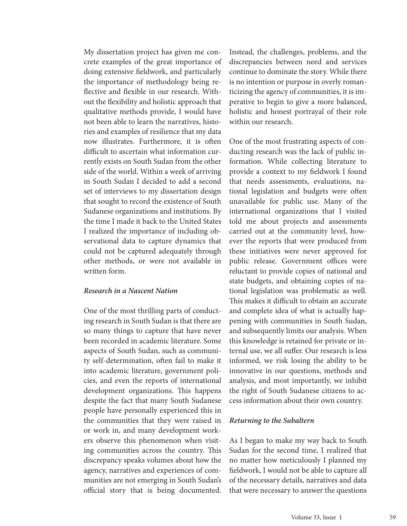My dissertation project has given me concrete examples of the great importance of doing extensive fieldwork, and particularly the importance of methodology being reflective and flexible in our research. Without the flexibility and holistic approach that qualitative methods provide, I would have not been able to learn the narratives, histories and examples of resilience that my data now illustrates. Furthermore, it is often difficult to ascertain what information currently exists on South Sudan from the other side of the world. Within a week of arriving in South Sudan I decided to add a second set of interviews to my dissertation design that sought to record the existence of South Sudanese organizations and institutions. By the time I made it back to the United States I realized the importance of including observational data to capture dynamics that could not be captured adequately through other methods, or were not available in written form.

#### *Research in a Nascent Nation*

One of the most thrilling parts of conducting research in South Sudan is that there are so many things to capture that have never been recorded in academic literature. Some aspects of South Sudan, such as community self-determination, often fail to make it into academic literature, government policies, and even the reports of international development organizations. This happens despite the fact that many South Sudanese people have personally experienced this in the communities that they were raised in or work in, and many development workers observe this phenomenon when visiting communities across the country. This discrepancy speaks volumes about how the agency, narratives and experiences of communities are not emerging in South Sudan's official story that is being documented.

Instead, the challenges, problems, and the discrepancies between need and services continue to dominate the story. While there is no intention or purpose in overly romanticizing the agency of communities, it is imperative to begin to give a more balanced, holistic and honest portrayal of their role within our research.

One of the most frustrating aspects of conducting research was the lack of public information. While collecting literature to provide a context to my fieldwork I found that needs assessments, evaluations, national legislation and budgets were often unavailable for public use. Many of the international organizations that I visited told me about projects and assessments carried out at the community level, however the reports that were produced from these initiatives were never approved for public release. Government offices were reluctant to provide copies of national and state budgets, and obtaining copies of national legislation was problematic as well. This makes it difficult to obtain an accurate and complete idea of what is actually happening with communities in South Sudan, and subsequently limits our analysis. When this knowledge is retained for private or internal use, we all suffer. Our research is less informed, we risk losing the ability to be innovative in our questions, methods and analysis, and most importantly, we inhibit the right of South Sudanese citizens to access information about their own country.

#### *Returning to the Subaltern*

As I began to make my way back to South Sudan for the second time, I realized that no matter how meticulously I planned my fieldwork, I would not be able to capture all of the necessary details, narratives and data that were necessary to answer the questions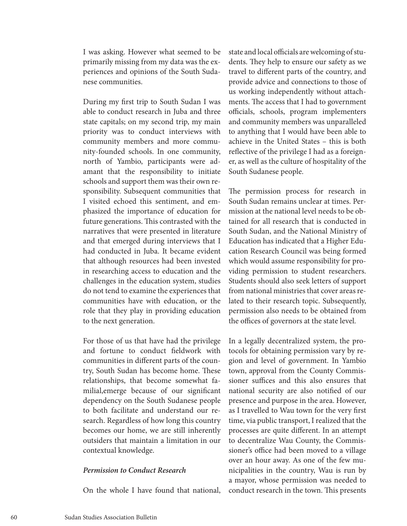I was asking. However what seemed to be primarily missing from my data was the experiences and opinions of the South Sudanese communities.

During my first trip to South Sudan I was able to conduct research in Juba and three state capitals; on my second trip, my main priority was to conduct interviews with community members and more community-founded schools. In one community, north of Yambio, participants were adamant that the responsibility to initiate schools and support them was their own responsibility. Subsequent communities that I visited echoed this sentiment, and emphasized the importance of education for future generations. This contrasted with the narratives that were presented in literature and that emerged during interviews that I had conducted in Juba. It became evident that although resources had been invested in researching access to education and the challenges in the education system, studies do not tend to examine the experiences that communities have with education, or the role that they play in providing education to the next generation.

For those of us that have had the privilege and fortune to conduct fieldwork with communities in different parts of the country, South Sudan has become home. These relationships, that become somewhat familial,emerge because of our significant dependency on the South Sudanese people to both facilitate and understand our research. Regardless of how long this country becomes our home, we are still inherently outsiders that maintain a limitation in our contextual knowledge.

#### *Permission to Conduct Research*

On the whole I have found that national,

state and local officials are welcoming of students. They help to ensure our safety as we travel to different parts of the country, and provide advice and connections to those of us working independently without attachments. The access that I had to government officials, schools, program implementers and community members was unparalleled to anything that I would have been able to achieve in the United States – this is both reflective of the privilege I had as a foreigner, as well as the culture of hospitality of the South Sudanese people.

The permission process for research in South Sudan remains unclear at times. Permission at the national level needs to be obtained for all research that is conducted in South Sudan, and the National Ministry of Education has indicated that a Higher Education Research Council was being formed which would assume responsibility for providing permission to student researchers. Students should also seek letters of support from national ministries that cover areas related to their research topic. Subsequently, permission also needs to be obtained from the offices of governors at the state level.

In a legally decentralized system, the protocols for obtaining permission vary by region and level of government. In Yambio town, approval from the County Commissioner suffices and this also ensures that national security are also notified of our presence and purpose in the area. However, as I travelled to Wau town for the very first time, via public transport, I realized that the processes are quite different. In an attempt to decentralize Wau County, the Commissioner's office had been moved to a village over an hour away. As one of the few municipalities in the country, Wau is run by a mayor, whose permission was needed to conduct research in the town. This presents